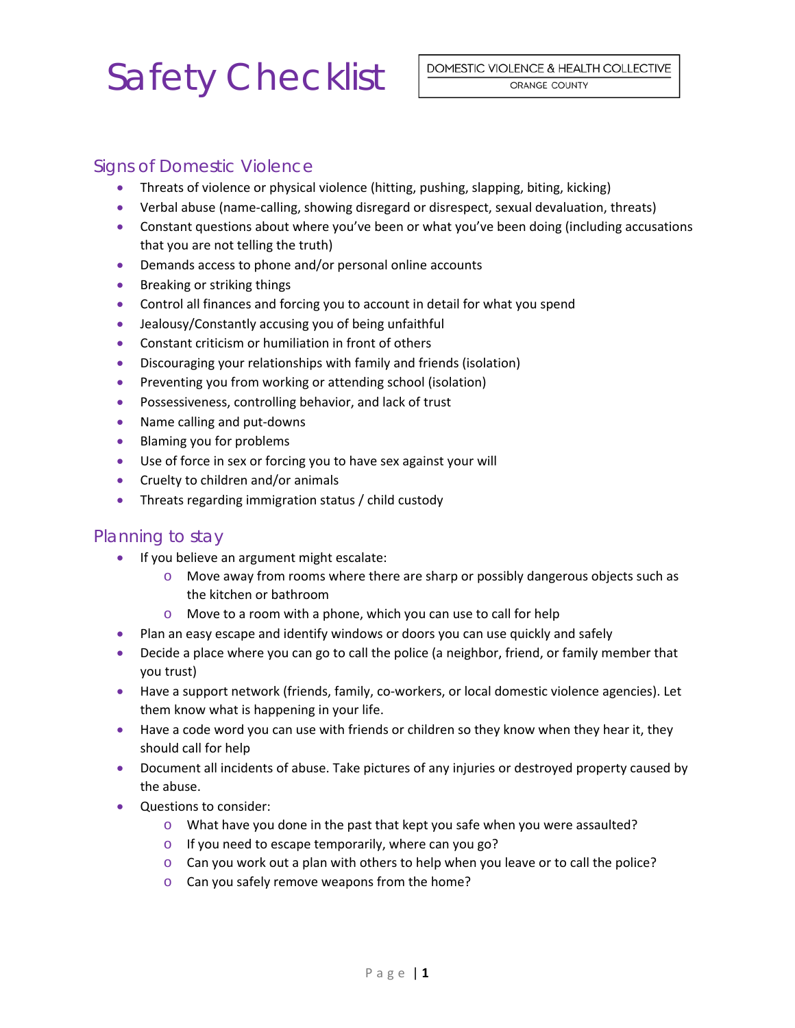## Safety Checklist

## Signs of Domestic Violence

- Threats of violence or physical violence (hitting, pushing, slapping, biting, kicking)
- Verbal abuse (name-calling, showing disregard or disrespect, sexual devaluation, threats)
- Constant questions about where you've been or what you've been doing (including accusations that you are not telling the truth)
- Demands access to phone and/or personal online accounts
- **•** Breaking or striking things
- Control all finances and forcing you to account in detail for what you spend
- Jealousy/Constantly accusing you of being unfaithful
- Constant criticism or humiliation in front of others
- Discouraging your relationships with family and friends (isolation)
- Preventing you from working or attending school (isolation)
- **•** Possessiveness, controlling behavior, and lack of trust
- Name calling and put-downs
- Blaming you for problems
- Use of force in sex or forcing you to have sex against your will
- Cruelty to children and/or animals
- Threats regarding immigration status / child custody

#### Planning to stay

- **If you believe an argument might escalate:** 
	- $\circ$  Move away from rooms where there are sharp or possibly dangerous objects such as the kitchen or bathroom
	- o Move to a room with a phone, which you can use to call for help
- Plan an easy escape and identify windows or doors you can use quickly and safely
- Decide a place where you can go to call the police (a neighbor, friend, or family member that you trust)
- Have a support network (friends, family, co-workers, or local domestic violence agencies). Let them know what is happening in your life.
- Have a code word you can use with friends or children so they know when they hear it, they should call for help
- Document all incidents of abuse. Take pictures of any injuries or destroyed property caused by the abuse.
- Questions to consider:
	- $\circ$  What have you done in the past that kept you safe when you were assaulted?
	- o If you need to escape temporarily, where can you go?
	- $\circ$  Can you work out a plan with others to help when you leave or to call the police?
	- o Can you safely remove weapons from the home?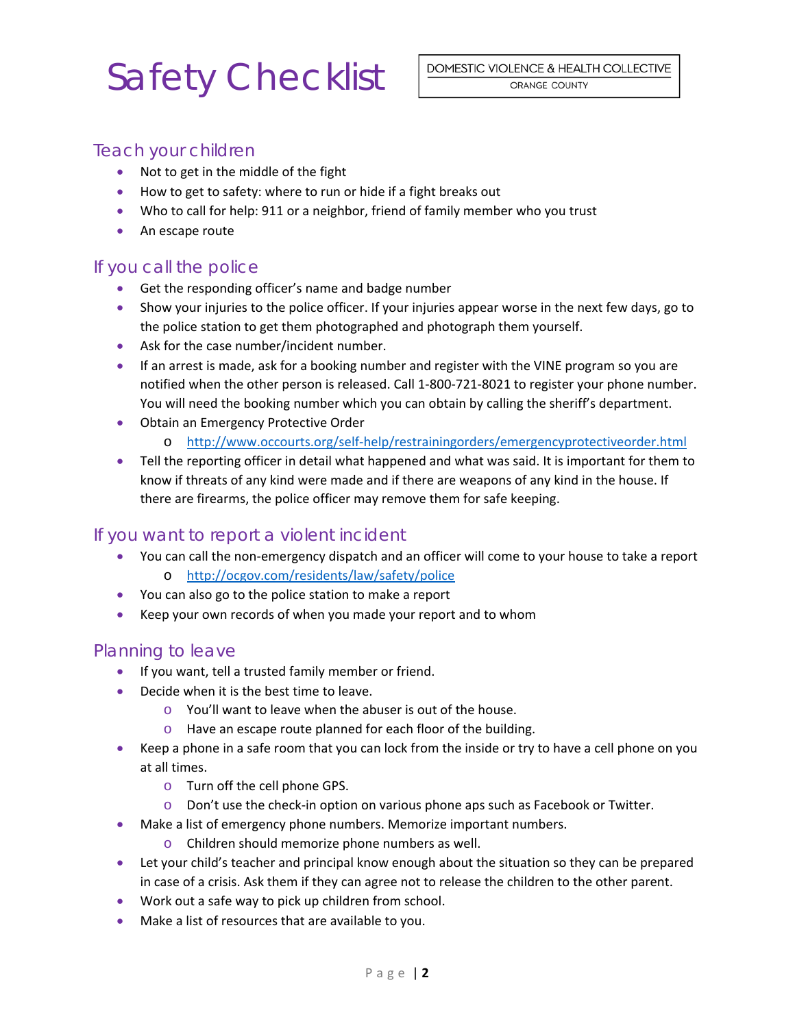## Safety Checklist

### Teach your children

- Not to get in the middle of the fight
- How to get to safety: where to run or hide if a fight breaks out
- Who to call for help: 911 or a neighbor, friend of family member who you trust
- An escape route

### If you call the police

- Get the responding officer's name and badge number
- Show your injuries to the police officer. If your injuries appear worse in the next few days, go to the police station to get them photographed and photograph them yourself.
- Ask for the case number/incident number.
- If an arrest is made, ask for a booking number and register with the VINE program so you are notified when the other person is released. Call 1‐800‐721‐8021 to register your phone number. You will need the booking number which you can obtain by calling the sheriff's department.
- Obtain an Emergency Protective Order
	- o http://www.occourts.org/self‐help/restrainingorders/emergencyprotectiveorder.html
- Tell the reporting officer in detail what happened and what was said. It is important for them to know if threats of any kind were made and if there are weapons of any kind in the house. If there are firearms, the police officer may remove them for safe keeping.

### If you want to report a violent incident

- You can call the non-emergency dispatch and an officer will come to your house to take a report o http://ocgov.com/residents/law/safety/police
- You can also go to the police station to make a report
- Keep your own records of when you made your report and to whom

### Planning to leave

- **If you want, tell a trusted family member or friend.**
- Decide when it is the best time to leave.
	- o You'll want to leave when the abuser is out of the house.
	- o Have an escape route planned for each floor of the building.
- Keep a phone in a safe room that you can lock from the inside or try to have a cell phone on you at all times.
	- o Turn off the cell phone GPS.
	- o Don't use the check‐in option on various phone aps such as Facebook or Twitter.
- Make a list of emergency phone numbers. Memorize important numbers.
	- o Children should memorize phone numbers as well.
- Let your child's teacher and principal know enough about the situation so they can be prepared in case of a crisis. Ask them if they can agree not to release the children to the other parent.
- Work out a safe way to pick up children from school.
- Make a list of resources that are available to you.